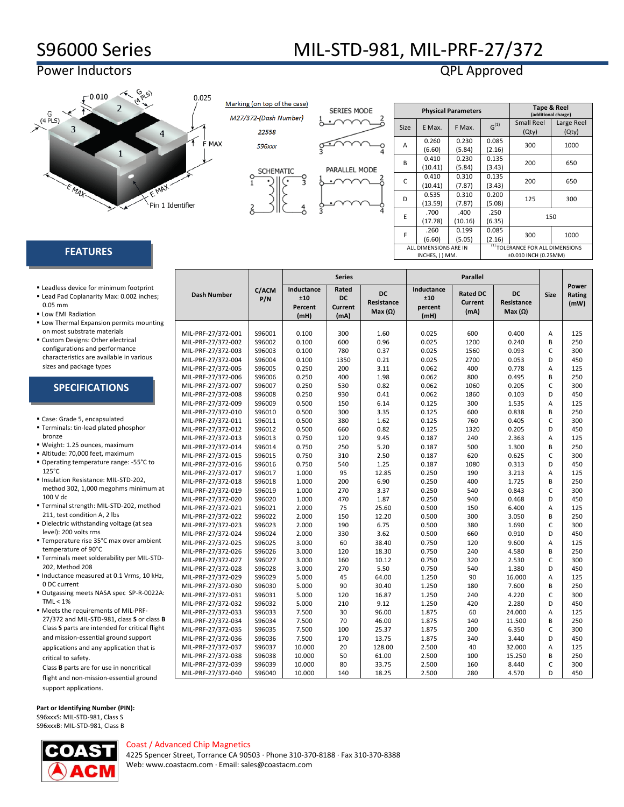# S96000 Series MIL-STD-981, MIL-PRF-27/372

**Series Parallel** 

## Power Inductors QPL Approved



Marking (on top of the case) M27/372-(Dash Number) 22558

**SERIES MODE** 

S96xxx



| <b>SCHEMATIC</b> | PARALLEL MODE |
|------------------|---------------|
|                  |               |

|             |                                         | <b>Physical Parameters</b>                | <b>Tape &amp; Reel</b><br>(additional charge) |                                                                     |                     |  |  |
|-------------|-----------------------------------------|-------------------------------------------|-----------------------------------------------|---------------------------------------------------------------------|---------------------|--|--|
| <b>Size</b> | E Max.                                  | F Max.                                    | $G^{(1)}$                                     | <b>Small Reel</b><br>(Qty)                                          | Large Reel<br>(Qty) |  |  |
| A           | 0.260<br>(6.60)                         | 0.230<br>(5.84)                           | 0.085<br>(2.16)                               | 300                                                                 | 1000                |  |  |
| B           | 0.410<br>(10.41)                        | 0.230<br>(5.84)                           | 0.135<br>(3.43)                               | 200                                                                 | 650                 |  |  |
| C           | 0.410<br>(10.41)                        | 0.310<br>(7.87)                           | 0.135<br>(3.43)                               | 200                                                                 | 650                 |  |  |
| D           | 0.535<br>(13.59)                        | 0.200<br>0.310<br>125<br>(5.08)<br>(7.87) |                                               | 300                                                                 |                     |  |  |
| E           | .700<br>(17.78)                         | .400<br>(10.16)                           | .250<br>(6.35)                                |                                                                     | 150                 |  |  |
| F           | .260<br>(6.60)                          | 0.199<br>(5.05)                           | 0.085<br>(2.16)                               | 300                                                                 | 1000                |  |  |
|             | ALL DIMENSIONS ARE IN<br>INCHES, () MM. |                                           |                                               | <sup>(1)</sup> TOLERANCE FOR ALL DIMENSIONS<br>±0.010 INCH (0.25MM) |                     |  |  |

### **FEATURES**

| Leadless device for minimum footprint |  |
|---------------------------------------|--|
|---------------------------------------|--|

- Lead Pad Coplanarity Max: 0.002 inches; 0.05 mm
- **ELow EMI Radiation**
- **Low Thermal Expansion permits mounting** on most substrate materials
- Custom Designs: Other electrical configurations and performance characteristics are available in various sizes and package types

| <b>SPECIFICATIONS</b> |
|-----------------------|
|-----------------------|

- Case: Grade 5, encapsulated Terminals: tin-lead plated phosphor bronze
- Weight: 1.25 ounces, maximum
- Altitude: 70,000 feet, maximum
- Operating temperature range: -55°C to 125°C
- Insulation Resistance: MIL-STD-202, method 302, 1,000 megohms minimum at 100 V dc
- Terminal strength: MIL-STD-202, method 211, test condition A, 2 lbs
- Dielectric withstanding voltage (at sea level): 200 volts rms
- Temperature rise 35°C max over ambient temperature of 90°C
- Terminals meet solderability per MIL-STD-202, Method 208
- Inductance measured at 0.1 Vrms, 10 kHz, 0 DC current
- Outgassing meets NASA spec SP-R-0022A:  $TML < 1%$
- Meets the requirements of MIL-PRF-27/372 and MIL-STD-981, class **S** or class **B** Class **S** parts are intended for critical flight and mission-essential ground support applications and any application that is critical to safety.

Class **B** parts are for use in noncritical flight and non-mission-essential ground support applications.

**Part or Identifying Number (PIN):** S96xxxS: MIL-STD-981, Class S

S96xxxB: MIL-STD-981, Class B

| ı.<br>e |
|---------|
|         |

|                    | C/ACM  | Inductance | Rated<br>DC    |                | Inductance | <b>Rated DC</b> | <b>DC</b>         |             | Power          |
|--------------------|--------|------------|----------------|----------------|------------|-----------------|-------------------|-------------|----------------|
| <b>Dash Number</b> | P/N    | ±10        | <b>DC</b>      | Resistance     | ±10        | <b>Current</b>  | <b>Resistance</b> | <b>Size</b> | Rating<br>(mW) |
|                    |        | Percent    | <b>Current</b> | Max $(\Omega)$ | percent    | (mA)            | Max $(\Omega)$    |             |                |
|                    |        | (mH)       | (mA)           |                | (mH)       |                 |                   |             |                |
|                    |        |            |                |                |            |                 |                   |             |                |
| MIL-PRF-27/372-001 | S96001 | 0.100      | 300            | 1.60           | 0.025      | 600             | 0.400             | A           | 125            |
| MIL-PRF-27/372-002 | S96002 | 0.100      | 600            | 0.96           | 0.025      | 1200            | 0.240             | B           | 250            |
| MIL-PRF-27/372-003 | S96003 | 0.100      | 780            | 0.37           | 0.025      | 1560            | 0.093             | C           | 300            |
| MIL-PRF-27/372-004 | S96004 | 0.100      | 1350           | 0.21           | 0.025      | 2700            | 0.053             | D           | 450            |
| MIL-PRF-27/372-005 | S96005 | 0.250      | 200            | 3.11           | 0.062      | 400             | 0.778             | A           | 125            |
| MIL-PRF-27/372-006 | S96006 | 0.250      | 400            | 1.98           | 0.062      | 800             | 0.495             | B           | 250            |
| MIL-PRF-27/372-007 | S96007 | 0.250      | 530            | 0.82           | 0.062      | 1060            | 0.205             | C           | 300            |
| MIL-PRF-27/372-008 | S96008 | 0.250      | 930            | 0.41           | 0.062      | 1860            | 0.103             | D           | 450            |
| MIL-PRF-27/372-009 | S96009 | 0.500      | 150            | 6.14           | 0.125      | 300             | 1.535             | A           | 125            |
| MIL-PRF-27/372-010 | S96010 | 0.500      | 300            | 3.35           | 0.125      | 600             | 0.838             | B           | 250            |
| MIL-PRF-27/372-011 | S96011 | 0.500      | 380            | 1.62           | 0.125      | 760             | 0.405             | C           | 300            |
| MIL-PRF-27/372-012 | S96012 | 0.500      | 660            | 0.82           | 0.125      | 1320            | 0.205             | D           | 450            |
| MIL-PRF-27/372-013 | S96013 | 0.750      | 120            | 9.45           | 0.187      | 240             | 2.363             | A           | 125            |
| MIL-PRF-27/372-014 | S96014 | 0.750      | 250            | 5.20           | 0.187      | 500             | 1.300             | B           | 250            |
| MIL-PRF-27/372-015 | S96015 | 0.750      | 310            | 2.50           | 0.187      | 620             | 0.625             | C           | 300            |
| MIL-PRF-27/372-016 | S96016 | 0.750      | 540            | 1.25           | 0.187      | 1080            | 0.313             | D           | 450            |
| MIL-PRF-27/372-017 | S96017 | 1.000      | 95             | 12.85          | 0.250      | 190             | 3.213             | A           | 125            |
| MIL-PRF-27/372-018 | S96018 | 1.000      | 200            | 6.90           | 0.250      | 400             | 1.725             | B           | 250            |
| MIL-PRF-27/372-019 | S96019 | 1.000      | 270            | 3.37           | 0.250      | 540             | 0.843             | C           | 300            |
| MIL-PRF-27/372-020 | S96020 | 1.000      | 470            | 1.87           | 0.250      | 940             | 0.468             | D           | 450            |
| MIL-PRF-27/372-021 | S96021 | 2.000      | 75             | 25.60          | 0.500      | 150             | 6.400             | A           | 125            |
| MIL-PRF-27/372-022 | S96022 | 2.000      | 150            | 12.20          | 0.500      | 300             | 3.050             | B           | 250            |
| MIL-PRF-27/372-023 | S96023 | 2.000      | 190            | 6.75           | 0.500      | 380             | 1.690             | C           | 300            |
| MIL-PRF-27/372-024 | S96024 | 2.000      | 330            | 3.62           | 0.500      | 660             | 0.910             | D           | 450            |
| MIL-PRF-27/372-025 | S96025 | 3.000      | 60             | 38.40          | 0.750      | 120             | 9.600             | A           | 125            |
| MIL-PRF-27/372-026 | S96026 | 3.000      | 120            | 18.30          | 0.750      | 240             | 4.580             | B           | 250            |
| MIL-PRF-27/372-027 | S96027 | 3.000      | 160            | 10.12          | 0.750      | 320             | 2.530             | C           | 300            |
| MIL-PRF-27/372-028 | S96028 | 3.000      | 270            | 5.50           | 0.750      | 540             | 1.380             | D           | 450            |
| MIL-PRF-27/372-029 | S96029 | 5.000      | 45             | 64.00          | 1.250      | 90              | 16.000            | A           | 125            |
| MIL-PRF-27/372-030 | S96030 | 5.000      | 90             | 30.40          | 1.250      | 180             | 7.600             | B           | 250            |
| MIL-PRF-27/372-031 | S96031 | 5.000      | 120            | 16.87          | 1.250      | 240             | 4.220             | C           | 300            |
| MIL-PRF-27/372-032 | S96032 | 5.000      | 210            | 9.12           | 1.250      | 420             | 2.280             | D           | 450            |
| MIL-PRF-27/372-033 | S96033 | 7.500      | 30             | 96.00          | 1.875      | 60              | 24.000            | A           | 125            |
| MIL-PRF-27/372-034 | S96034 | 7.500      | 70             | 46.00          | 1.875      | 140             | 11.500            | B           | 250            |
| MIL-PRF-27/372-035 | S96035 | 7.500      | 100            | 25.37          | 1.875      | 200             | 6.350             | C           | 300            |
| MIL-PRF-27/372-036 | S96036 | 7.500      | 170            | 13.75          | 1.875      | 340             | 3.440             | D           | 450            |
| MIL-PRF-27/372-037 | S96037 | 10.000     | 20             | 128.00         | 2.500      | 40              | 32.000            | A           | 125            |
| MIL-PRF-27/372-038 | S96038 | 10.000     | 50             | 61.00          | 2.500      | 100             | 15.250            | B           | 250            |
| MIL-PRF-27/372-039 | S96039 | 10.000     | 80             | 33.75          | 2.500      | 160             | 8.440             | C           | 300            |
| MIL-PRF-27/372-040 | S96040 | 10.000     | 140            | 18.25          | 2.500      | 280             | 4.570             | D           | 450            |

Coast / Advanced Chip Magnetics 4225 Spencer Street, Torrance CA 90503 · Phone 310-370-8188 · Fax 310-370-8388 Web[: www.coastacm.com](http://www.coastacm.com/) · Email: sales@coastacm.com